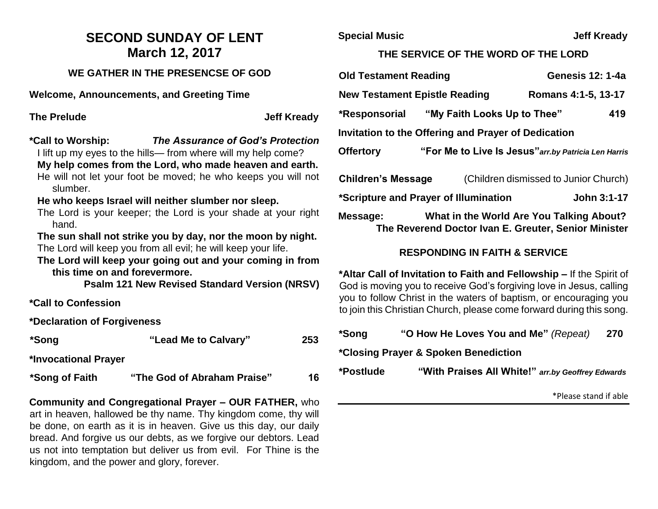## **SECOND SUNDAY OF LENT March 12, 2017**

#### **WE GATHER IN THE PRESENCSE OF GOD**

**Welcome, Announcements, and Greeting Time** 

**The Prelude Contract Contract Contract Contract Contract Contract Contract Contract Contract Contract Contract Contract Contract Contract Contract Contract Contract Contract Contract Contract Contract Contract Contract Co** 

**\*Call to Worship:** *The Assurance of God's Protection*

I lift up my eyes to the hills— from where will my help come?

- **My help comes from the Lord, who made heaven and earth.** He will not let your foot be moved; he who keeps you will not slumber.
- **He who keeps Israel will neither slumber nor sleep.**
- The Lord is your keeper; the Lord is your shade at your right hand.
- **The sun shall not strike you by day, nor the moon by night.** The Lord will keep you from all evil; he will keep your life.
- **The Lord will keep your going out and your coming in from this time on and forevermore.**

**Psalm 121 New Revised Standard Version (NRSV)**

**\*Call to Confession**

**\*Declaration of Forgiveness**

**\*Song "Lead Me to Calvary" 253** 

**\*Invocational Prayer**

**\*Song of Faith "The God of Abraham Praise" 16**

**Community and Congregational Prayer – OUR FATHER,** who art in heaven, hallowed be thy name. Thy kingdom come, thy will be done, on earth as it is in heaven. Give us this day, our daily bread. And forgive us our debts, as we forgive our debtors. Lead us not into temptation but deliver us from evil. For Thine is the kingdom, and the power and glory, forever.

**Special Music Community Community Special Music Community Community Community Community Community Community Community Community Community Community Community Community Community Community Community Community Community Com** 

### **THE SERVICE OF THE WORD OF THE LORD**

| <b>Old Testament Reading</b>                         |                             | <b>Genesis 12: 1-4a</b>                                                                          |                     |  |  |
|------------------------------------------------------|-----------------------------|--------------------------------------------------------------------------------------------------|---------------------|--|--|
| <b>New Testament Epistle Reading</b>                 |                             |                                                                                                  | Romans 4:1-5, 13-17 |  |  |
| *Responsorial                                        | "My Faith Looks Up to Thee" |                                                                                                  | 419                 |  |  |
| Invitation to the Offering and Prayer of Dedication  |                             |                                                                                                  |                     |  |  |
| <b>Offertory</b>                                     |                             | "For Me to Live Is Jesus" arr.by Patricia Len Harris                                             |                     |  |  |
| <b>Children's Message</b>                            |                             | (Children dismissed to Junior Church)                                                            |                     |  |  |
| *Scripture and Prayer of Illumination<br>John 3:1-17 |                             |                                                                                                  |                     |  |  |
| Message:                                             |                             | What in the World Are You Talking About?<br>The Reverend Doctor Ivan E. Greuter, Senior Minister |                     |  |  |

### **RESPONDING IN FAITH & SERVICE**

**\*Altar Call of Invitation to Faith and Fellowship –** If the Spirit of God is moving you to receive God's forgiving love in Jesus, calling you to follow Christ in the waters of baptism, or encouraging you to join this Christian Church, please come forward during this song.

| *Song                                | "O How He Loves You and Me" (Repeat)              | 270 |  |  |
|--------------------------------------|---------------------------------------------------|-----|--|--|
| *Closing Prayer & Spoken Benediction |                                                   |     |  |  |
| *Postlude                            | "With Praises All White!" arr.by Geoffrey Edwards |     |  |  |

\*Please stand if able